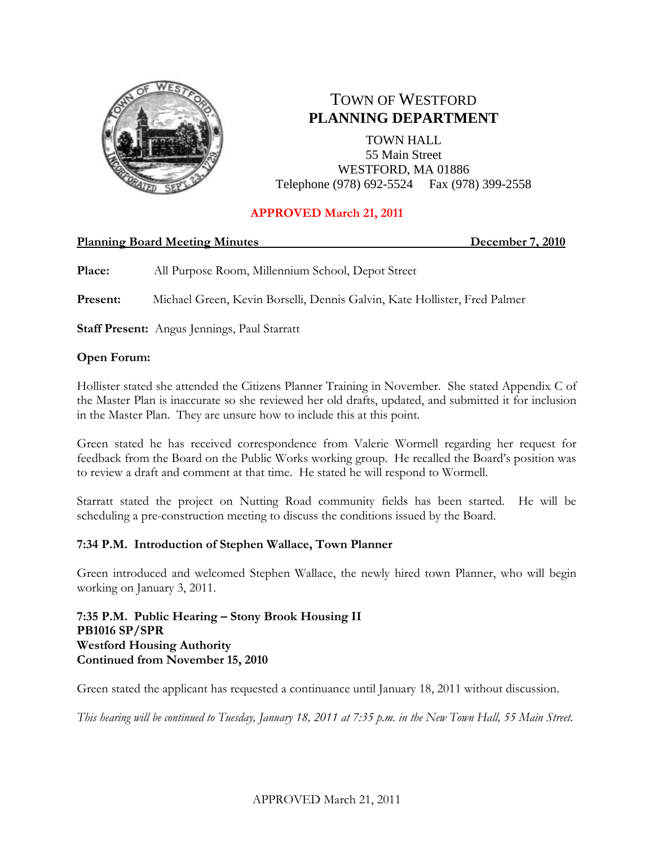

# TOWN OF WESTFORD **PLANNING DEPARTMENT**

TOWN HALL 55 Main Street WESTFORD, MA 01886 Telephone (978) 692-5524 Fax (978) 399-2558

## **APPROVED March 21, 2011**

### **Planning Board Meeting Minutes December 7, 2010**

**Place:** All Purpose Room, Millennium School, Depot Street

**Present:** Michael Green, Kevin Borselli, Dennis Galvin, Kate Hollister, Fred Palmer

**Staff Present:** Angus Jennings, Paul Starratt

## **Open Forum:**

Hollister stated she attended the Citizens Planner Training in November. She stated Appendix C of the Master Plan is inaccurate so she reviewed her old drafts, updated, and submitted it for inclusion in the Master Plan. They are unsure how to include this at this point.

Green stated he has received correspondence from Valerie Wormell regarding her request for feedback from the Board on the Public Works working group. He recalled the Board's position was to review a draft and comment at that time. He stated he will respond to Wormell.

Starratt stated the project on Nutting Road community fields has been started. He will be scheduling a pre-construction meeting to discuss the conditions issued by the Board.

### **7:34 P.M. Introduction of Stephen Wallace, Town Planner**

Green introduced and welcomed Stephen Wallace, the newly hired town Planner, who will begin working on January 3, 2011.

**7:35 P.M. Public Hearing – Stony Brook Housing II PB1016 SP/SPR Westford Housing Authority Continued from November 15, 2010**

Green stated the applicant has requested a continuance until January 18, 2011 without discussion.

*This hearing will be continued to Tuesday, January 18, 2011 at 7:35 p.m. in the New Town Hall, 55 Main Street.*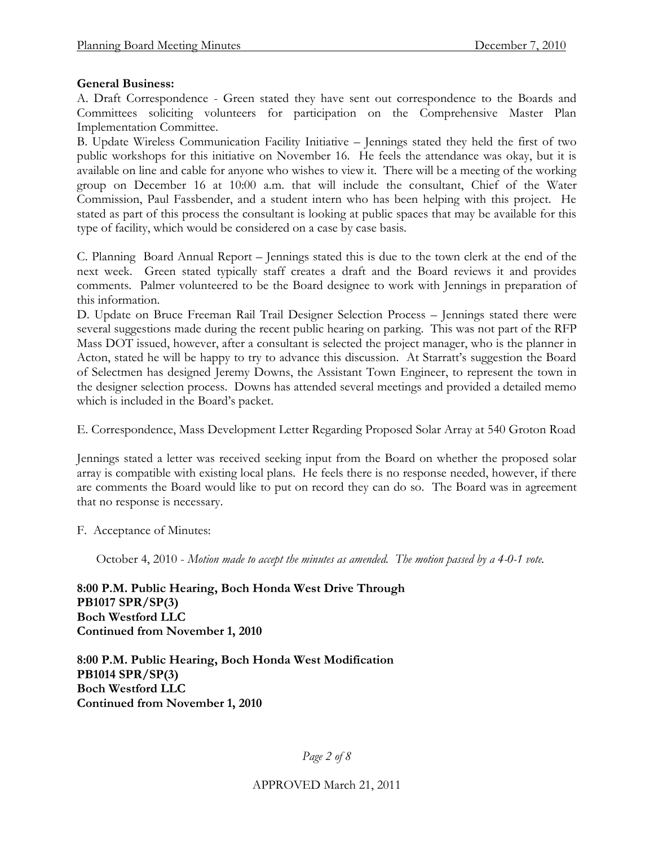#### **General Business:**

A. Draft Correspondence - Green stated they have sent out correspondence to the Boards and Committees soliciting volunteers for participation on the Comprehensive Master Plan Implementation Committee.

B. Update Wireless Communication Facility Initiative – Jennings stated they held the first of two public workshops for this initiative on November 16. He feels the attendance was okay, but it is available on line and cable for anyone who wishes to view it. There will be a meeting of the working group on December 16 at 10:00 a.m. that will include the consultant, Chief of the Water Commission, Paul Fassbender, and a student intern who has been helping with this project. He stated as part of this process the consultant is looking at public spaces that may be available for this type of facility, which would be considered on a case by case basis.

C. Planning Board Annual Report – Jennings stated this is due to the town clerk at the end of the next week. Green stated typically staff creates a draft and the Board reviews it and provides comments. Palmer volunteered to be the Board designee to work with Jennings in preparation of this information.

D. Update on Bruce Freeman Rail Trail Designer Selection Process – Jennings stated there were several suggestions made during the recent public hearing on parking. This was not part of the RFP Mass DOT issued, however, after a consultant is selected the project manager, who is the planner in Acton, stated he will be happy to try to advance this discussion. At Starratt's suggestion the Board of Selectmen has designed Jeremy Downs, the Assistant Town Engineer, to represent the town in the designer selection process. Downs has attended several meetings and provided a detailed memo which is included in the Board's packet.

E. Correspondence, Mass Development Letter Regarding Proposed Solar Array at 540 Groton Road

Jennings stated a letter was received seeking input from the Board on whether the proposed solar array is compatible with existing local plans. He feels there is no response needed, however, if there are comments the Board would like to put on record they can do so. The Board was in agreement that no response is necessary.

F. Acceptance of Minutes:

October 4, 2010 - *Motion made to accept the minutes as amended. The motion passed by a 4-0-1 vote.*

**8:00 P.M. Public Hearing, Boch Honda West Drive Through PB1017 SPR/SP(3) Boch Westford LLC Continued from November 1, 2010**

**8:00 P.M. Public Hearing, Boch Honda West Modification PB1014 SPR/SP(3) Boch Westford LLC Continued from November 1, 2010**

*Page 2 of 8*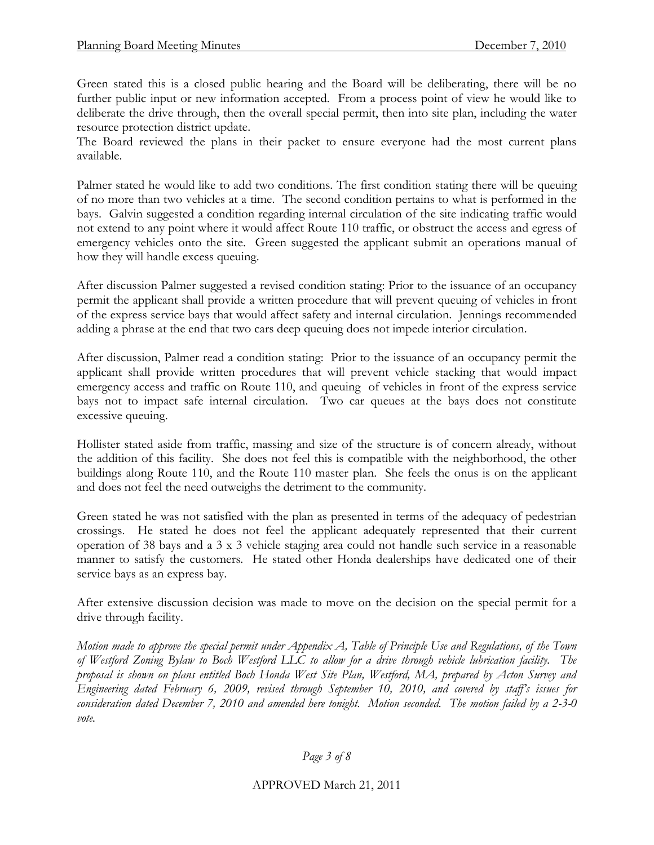Green stated this is a closed public hearing and the Board will be deliberating, there will be no further public input or new information accepted. From a process point of view he would like to deliberate the drive through, then the overall special permit, then into site plan, including the water resource protection district update.

The Board reviewed the plans in their packet to ensure everyone had the most current plans available.

Palmer stated he would like to add two conditions. The first condition stating there will be queuing of no more than two vehicles at a time. The second condition pertains to what is performed in the bays. Galvin suggested a condition regarding internal circulation of the site indicating traffic would not extend to any point where it would affect Route 110 traffic, or obstruct the access and egress of emergency vehicles onto the site. Green suggested the applicant submit an operations manual of how they will handle excess queuing.

After discussion Palmer suggested a revised condition stating: Prior to the issuance of an occupancy permit the applicant shall provide a written procedure that will prevent queuing of vehicles in front of the express service bays that would affect safety and internal circulation. Jennings recommended adding a phrase at the end that two cars deep queuing does not impede interior circulation.

After discussion, Palmer read a condition stating: Prior to the issuance of an occupancy permit the applicant shall provide written procedures that will prevent vehicle stacking that would impact emergency access and traffic on Route 110, and queuing of vehicles in front of the express service bays not to impact safe internal circulation. Two car queues at the bays does not constitute excessive queuing.

Hollister stated aside from traffic, massing and size of the structure is of concern already, without the addition of this facility. She does not feel this is compatible with the neighborhood, the other buildings along Route 110, and the Route 110 master plan. She feels the onus is on the applicant and does not feel the need outweighs the detriment to the community.

Green stated he was not satisfied with the plan as presented in terms of the adequacy of pedestrian crossings. He stated he does not feel the applicant adequately represented that their current operation of 38 bays and a 3 x 3 vehicle staging area could not handle such service in a reasonable manner to satisfy the customers. He stated other Honda dealerships have dedicated one of their service bays as an express bay.

After extensive discussion decision was made to move on the decision on the special permit for a drive through facility.

*Motion made to approve the special permit under Appendix A, Table of Principle Use and Regulations, of the Town of Westford Zoning Bylaw to Boch Westford LLC to allow for a drive through vehicle lubrication facility. The proposal is shown on plans entitled Boch Honda West Site Plan, Westford, MA, prepared by Acton Survey and Engineering dated February 6, 2009, revised through September 10, 2010, and covered by staff's issues for consideration dated December 7, 2010 and amended here tonight. Motion seconded. The motion failed by a 2-3-0 vote.*

### *Page 3 of 8*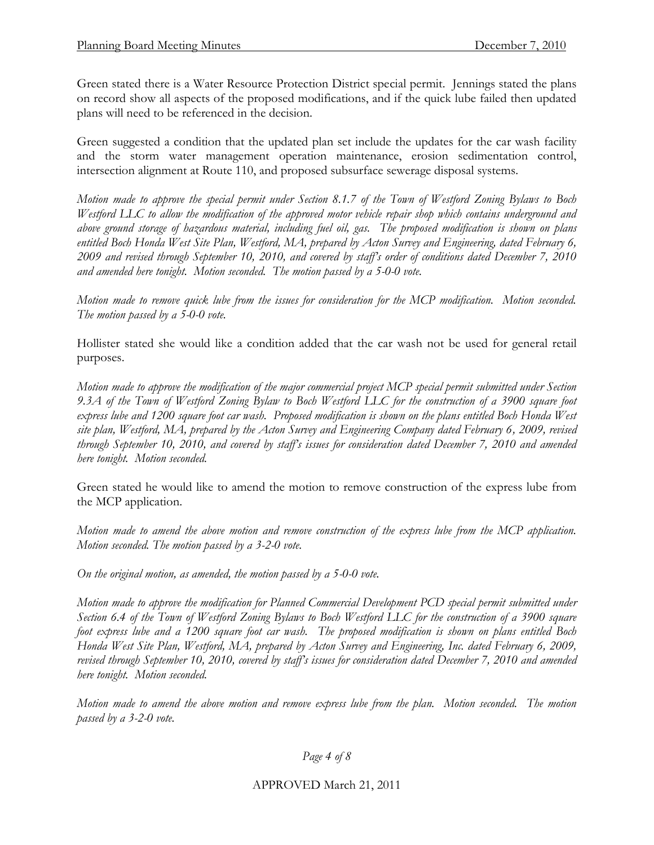Green stated there is a Water Resource Protection District special permit. Jennings stated the plans on record show all aspects of the proposed modifications, and if the quick lube failed then updated plans will need to be referenced in the decision.

Green suggested a condition that the updated plan set include the updates for the car wash facility and the storm water management operation maintenance, erosion sedimentation control, intersection alignment at Route 110, and proposed subsurface sewerage disposal systems.

*Motion made to approve the special permit under Section 8.1.7 of the Town of Westford Zoning Bylaws to Boch Westford LLC to allow the modification of the approved motor vehicle repair shop which contains underground and above ground storage of hazardous material, including fuel oil, gas. The proposed modification is shown on plans entitled Boch Honda West Site Plan, Westford, MA, prepared by Acton Survey and Engineering, dated February 6, 2009 and revised through September 10, 2010, and covered by staff's order of conditions dated December 7, 2010 and amended here tonight. Motion seconded. The motion passed by a 5-0-0 vote.* 

*Motion made to remove quick lube from the issues for consideration for the MCP modification. Motion seconded. The motion passed by a 5-0-0 vote.* 

Hollister stated she would like a condition added that the car wash not be used for general retail purposes.

*Motion made to approve the modification of the major commercial project MCP special permit submitted under Section 9.3A of the Town of Westford Zoning Bylaw to Boch Westford LLC for the construction of a 3900 square foot*  express lube and 1200 square foot car wash. Proposed modification is shown on the plans entitled Boch Honda West *site plan, Westford, MA, prepared by the Acton Survey and Engineering Company dated February 6, 2009, revised through September 10, 2010, and covered by staff's issues for consideration dated December 7, 2010 and amended here tonight. Motion seconded.* 

Green stated he would like to amend the motion to remove construction of the express lube from the MCP application.

*Motion made to amend the above motion and remove construction of the express lube from the MCP application. Motion seconded. The motion passed by a 3-2-0 vote.* 

*On the original motion, as amended, the motion passed by a 5-0-0 vote.*

*Motion made to approve the modification for Planned Commercial Development PCD special permit submitted under Section 6.4 of the Town of Westford Zoning Bylaws to Boch Westford LLC for the construction of a 3900 square foot express lube and a 1200 square foot car wash. The proposed modification is shown on plans entitled Boch Honda West Site Plan, Westford, MA, prepared by Acton Survey and Engineering, Inc. dated February 6, 2009, revised through September 10, 2010, covered by staff's issues for consideration dated December 7, 2010 and amended here tonight. Motion seconded.*

*Motion made to amend the above motion and remove express lube from the plan. Motion seconded. The motion passed by a 3-2-0 vote.*

*Page 4 of 8*

APPROVED March 21, 2011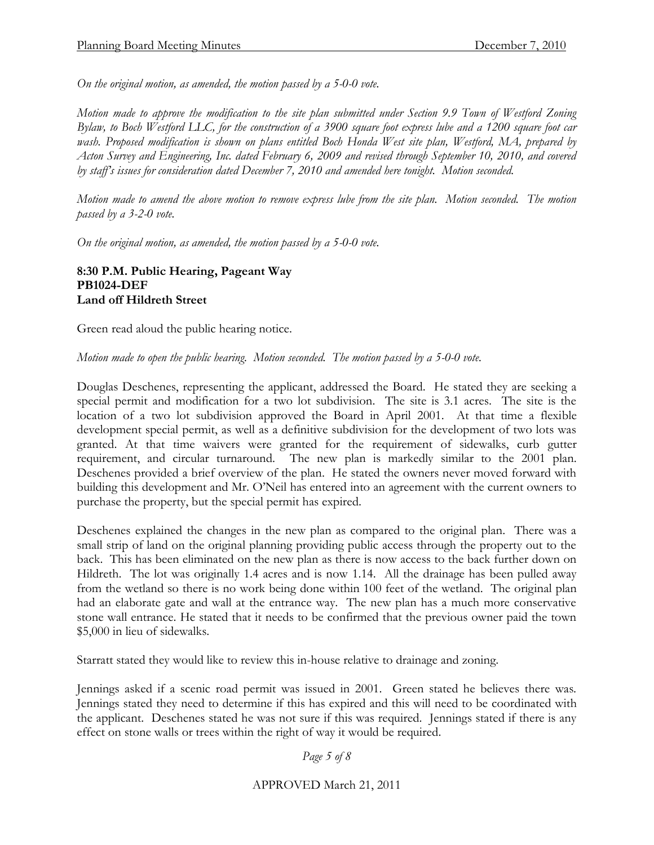*On the original motion, as amended, the motion passed by a 5-0-0 vote.*

*Motion made to approve the modification to the site plan submitted under Section 9.9 Town of Westford Zoning Bylaw, to Boch Westford LLC, for the construction of a 3900 square foot express lube and a 1200 square foot car wash. Proposed modification is shown on plans entitled Boch Honda West site plan, Westford, MA, prepared by Acton Survey and Engineering, Inc. dated February 6, 2009 and revised through September 10, 2010, and covered by staff's issues for consideration dated December 7, 2010 and amended here tonight. Motion seconded.*

*Motion made to amend the above motion to remove express lube from the site plan. Motion seconded. The motion passed by a 3-2-0 vote.* 

*On the original motion, as amended, the motion passed by a 5-0-0 vote.*

**8:30 P.M. Public Hearing, Pageant Way PB1024-DEF Land off Hildreth Street**

Green read aloud the public hearing notice.

*Motion made to open the public hearing. Motion seconded. The motion passed by a 5-0-0 vote.*

Douglas Deschenes, representing the applicant, addressed the Board. He stated they are seeking a special permit and modification for a two lot subdivision. The site is 3.1 acres. The site is the location of a two lot subdivision approved the Board in April 2001. At that time a flexible development special permit, as well as a definitive subdivision for the development of two lots was granted. At that time waivers were granted for the requirement of sidewalks, curb gutter requirement, and circular turnaround. The new plan is markedly similar to the 2001 plan. Deschenes provided a brief overview of the plan. He stated the owners never moved forward with building this development and Mr. O'Neil has entered into an agreement with the current owners to purchase the property, but the special permit has expired.

Deschenes explained the changes in the new plan as compared to the original plan. There was a small strip of land on the original planning providing public access through the property out to the back. This has been eliminated on the new plan as there is now access to the back further down on Hildreth. The lot was originally 1.4 acres and is now 1.14. All the drainage has been pulled away from the wetland so there is no work being done within 100 feet of the wetland. The original plan had an elaborate gate and wall at the entrance way. The new plan has a much more conservative stone wall entrance. He stated that it needs to be confirmed that the previous owner paid the town \$5,000 in lieu of sidewalks.

Starratt stated they would like to review this in-house relative to drainage and zoning.

Jennings asked if a scenic road permit was issued in 2001. Green stated he believes there was. Jennings stated they need to determine if this has expired and this will need to be coordinated with the applicant. Deschenes stated he was not sure if this was required. Jennings stated if there is any effect on stone walls or trees within the right of way it would be required.

*Page 5 of 8*

#### APPROVED March 21, 2011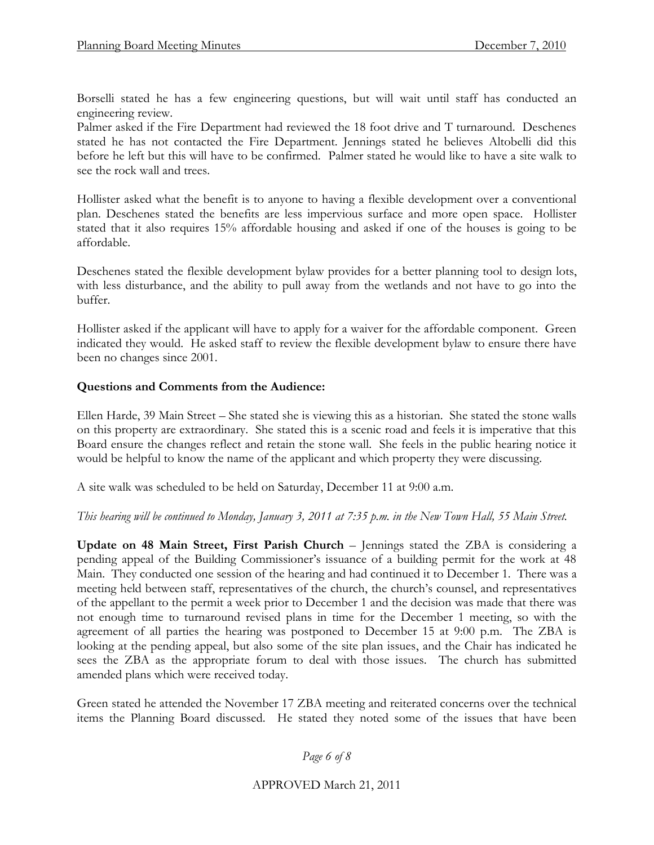Borselli stated he has a few engineering questions, but will wait until staff has conducted an engineering review.

Palmer asked if the Fire Department had reviewed the 18 foot drive and T turnaround. Deschenes stated he has not contacted the Fire Department. Jennings stated he believes Altobelli did this before he left but this will have to be confirmed. Palmer stated he would like to have a site walk to see the rock wall and trees.

Hollister asked what the benefit is to anyone to having a flexible development over a conventional plan. Deschenes stated the benefits are less impervious surface and more open space. Hollister stated that it also requires 15% affordable housing and asked if one of the houses is going to be affordable.

Deschenes stated the flexible development bylaw provides for a better planning tool to design lots, with less disturbance, and the ability to pull away from the wetlands and not have to go into the buffer.

Hollister asked if the applicant will have to apply for a waiver for the affordable component. Green indicated they would. He asked staff to review the flexible development bylaw to ensure there have been no changes since 2001.

### **Questions and Comments from the Audience:**

Ellen Harde, 39 Main Street – She stated she is viewing this as a historian. She stated the stone walls on this property are extraordinary. She stated this is a scenic road and feels it is imperative that this Board ensure the changes reflect and retain the stone wall. She feels in the public hearing notice it would be helpful to know the name of the applicant and which property they were discussing.

A site walk was scheduled to be held on Saturday, December 11 at 9:00 a.m.

#### *This hearing will be continued to Monday, January 3, 2011 at 7:35 p.m. in the New Town Hall, 55 Main Street.*

**Update on 48 Main Street, First Parish Church** – Jennings stated the ZBA is considering a pending appeal of the Building Commissioner's issuance of a building permit for the work at 48 Main. They conducted one session of the hearing and had continued it to December 1. There was a meeting held between staff, representatives of the church, the church's counsel, and representatives of the appellant to the permit a week prior to December 1 and the decision was made that there was not enough time to turnaround revised plans in time for the December 1 meeting, so with the agreement of all parties the hearing was postponed to December 15 at 9:00 p.m. The ZBA is looking at the pending appeal, but also some of the site plan issues, and the Chair has indicated he sees the ZBA as the appropriate forum to deal with those issues. The church has submitted amended plans which were received today.

Green stated he attended the November 17 ZBA meeting and reiterated concerns over the technical items the Planning Board discussed. He stated they noted some of the issues that have been

*Page 6 of 8*

APPROVED March 21, 2011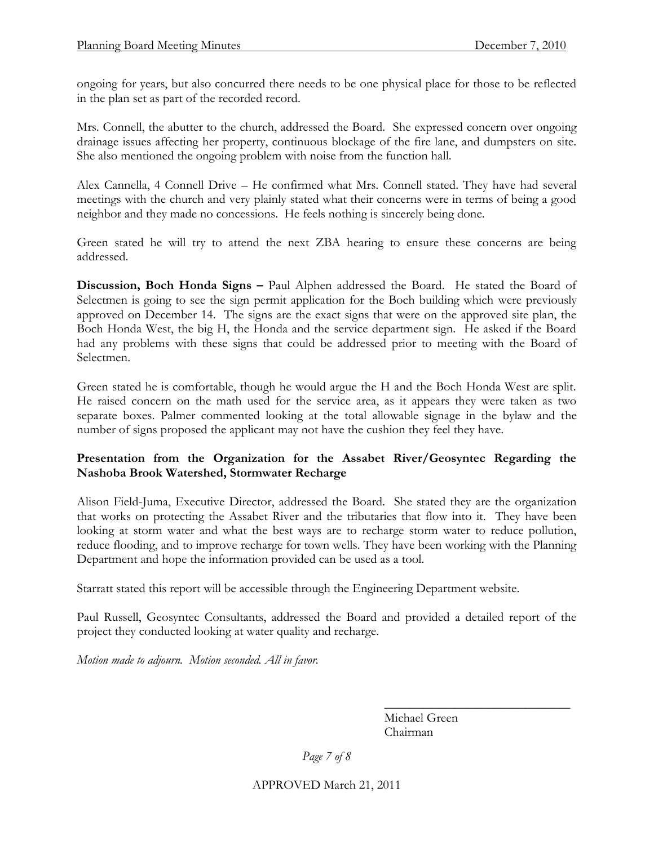ongoing for years, but also concurred there needs to be one physical place for those to be reflected in the plan set as part of the recorded record.

Mrs. Connell, the abutter to the church, addressed the Board. She expressed concern over ongoing drainage issues affecting her property, continuous blockage of the fire lane, and dumpsters on site. She also mentioned the ongoing problem with noise from the function hall.

Alex Cannella, 4 Connell Drive – He confirmed what Mrs. Connell stated. They have had several meetings with the church and very plainly stated what their concerns were in terms of being a good neighbor and they made no concessions. He feels nothing is sincerely being done.

Green stated he will try to attend the next ZBA hearing to ensure these concerns are being addressed.

**Discussion, Boch Honda Signs –** Paul Alphen addressed the Board. He stated the Board of Selectmen is going to see the sign permit application for the Boch building which were previously approved on December 14. The signs are the exact signs that were on the approved site plan, the Boch Honda West, the big H, the Honda and the service department sign. He asked if the Board had any problems with these signs that could be addressed prior to meeting with the Board of Selectmen.

Green stated he is comfortable, though he would argue the H and the Boch Honda West are split. He raised concern on the math used for the service area, as it appears they were taken as two separate boxes. Palmer commented looking at the total allowable signage in the bylaw and the number of signs proposed the applicant may not have the cushion they feel they have.

## **Presentation from the Organization for the Assabet River/Geosyntec Regarding the Nashoba Brook Watershed, Stormwater Recharge**

Alison Field-Juma, Executive Director, addressed the Board. She stated they are the organization that works on protecting the Assabet River and the tributaries that flow into it. They have been looking at storm water and what the best ways are to recharge storm water to reduce pollution, reduce flooding, and to improve recharge for town wells. They have been working with the Planning Department and hope the information provided can be used as a tool.

Starratt stated this report will be accessible through the Engineering Department website.

Paul Russell, Geosyntec Consultants, addressed the Board and provided a detailed report of the project they conducted looking at water quality and recharge.

*Motion made to adjourn. Motion seconded. All in favor.*

Michael Green Chairman

 $\overline{\phantom{a}}$  , where  $\overline{\phantom{a}}$  , where  $\overline{\phantom{a}}$  , where  $\overline{\phantom{a}}$ 

*Page 7 of 8*